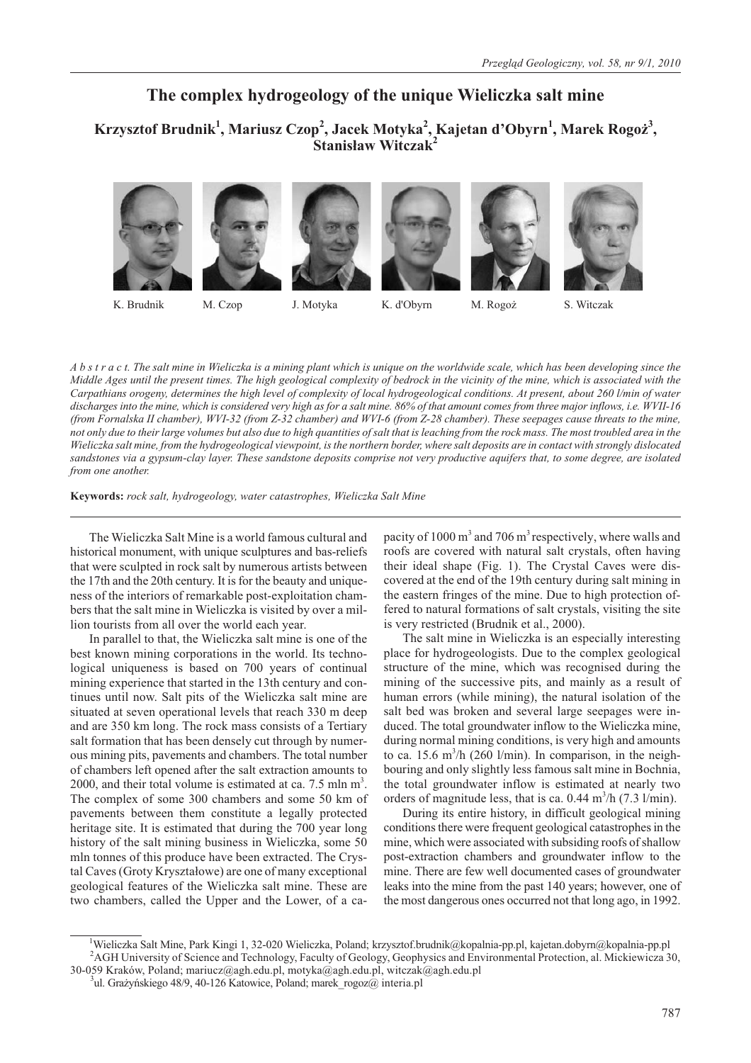# **The complex hydrogeology of the unique Wieliczka salt mine**

**Krzysztof Brudnik<sup>1</sup> , Mariusz Czop<sup>2</sup> , Jacek Motyka<sup>2</sup> , Kajetan d'Obyrn<sup>1</sup> , Marek Rogo¿<sup>3</sup> , Stanisław Witczak<sup>2</sup>** 













K. Brudnik M. Czop J. Motyka K. d'Obyrn M. Rogo¿ S. Witczak

*A b s t r a c t. The salt mine in Wieliczka is a mining plant which is unique on the worldwide scale, which has been developing since the Middle Ages until the present times. The high geological complexity of bedrock in the vicinity of the mine, which is associated with the Carpathians orogeny, determines the high level of complexity of local hydrogeological conditions. At present, about 260 l/min of water discharges into the mine, which is considered very high as for a salt mine. 86% of that amount comes from three major inflows, i.e. WVII-16 (from Fornalska II chamber), WVI-32 (from Z-32 chamber) and WVI-6 (from Z-28 chamber). These seepages cause threats to the mine, not only due to their large volumes but also due to high quantities of salt that is leaching from the rock mass. The most troubled area in the Wieliczka salt mine, from the hydrogeological viewpoint, is the northern border, where salt deposits are in contact with strongly dislocated sandstones via a gypsum-clay layer. These sandstone deposits comprise not very productive aquifers that, to some degree, are isolated from one another.*

**Keywords:** *rock salt, hydrogeology, water catastrophes, Wieliczka Salt Mine*

The Wieliczka Salt Mine is a world famous cultural and historical monument, with unique sculptures and bas-reliefs that were sculpted in rock salt by numerous artists between the 17th and the 20th century. It is for the beauty and uniqueness of the interiors of remarkable post-exploitation chambers that the salt mine in Wieliczka is visited by over a million tourists from all over the world each year.

In parallel to that, the Wieliczka salt mine is one of the best known mining corporations in the world. Its technological uniqueness is based on 700 years of continual mining experience that started in the 13th century and continues until now. Salt pits of the Wieliczka salt mine are situated at seven operational levels that reach 330 m deep and are 350 km long. The rock mass consists of a Tertiary salt formation that has been densely cut through by numerous mining pits, pavements and chambers. The total number of chambers left opened after the salt extraction amounts to 2000, and their total volume is estimated at ca.  $7.5 \text{ min m}^3$ . The complex of some 300 chambers and some 50 km of pavements between them constitute a legally protected heritage site. It is estimated that during the 700 year long history of the salt mining business in Wieliczka, some 50 mln tonnes of this produce have been extracted. The Crystal Caves (Groty Kryształowe) are one of many exceptional geological features of the Wieliczka salt mine. These are two chambers, called the Upper and the Lower, of a ca-

pacity of 1000  $\text{m}^3$  and 706  $\text{m}^3$  respectively, where walls and roofs are covered with natural salt crystals, often having their ideal shape (Fig. 1). The Crystal Caves were discovered at the end of the 19th century during salt mining in the eastern fringes of the mine. Due to high protection offered to natural formations of salt crystals, visiting the site is very restricted (Brudnik et al., 2000).

The salt mine in Wieliczka is an especially interesting place for hydrogeologists. Due to the complex geological structure of the mine, which was recognised during the mining of the successive pits, and mainly as a result of human errors (while mining), the natural isolation of the salt bed was broken and several large seepages were induced. The total groundwater inflow to the Wieliczka mine, during normal mining conditions, is very high and amounts to ca. 15.6 m<sup>3</sup>/h (260 l/min). In comparison, in the neighbouring and only slightly less famous salt mine in Bochnia, the total groundwater inflow is estimated at nearly two orders of magnitude less, that is ca.  $0.44 \text{ m}^3/\text{h}$  (7.3 l/min).

During its entire history, in difficult geological mining conditions there were frequent geological catastrophes in the mine, which were associated with subsiding roofs of shallow post-extraction chambers and groundwater inflow to the mine. There are few well documented cases of groundwater leaks into the mine from the past 140 years; however, one of the most dangerous ones occurred not that long ago, in 1992.

<sup>&</sup>lt;sup>1</sup>Wieliczka Salt Mine, Park Kingi 1, 32-020 Wieliczka, Poland; krzysztof.brudnik@kopalnia-pp.pl, kajetan.dobyrn@kopalnia-pp.pl <sup>2</sup>AGH University of Science and Technology, Faculty of Geology, Geophysics and Environmental Protection, al. Mickiewicza 30, 30-059 Kraków, Poland; mariucz@agh.edu.pl, motyka@agh.edu.pl, witczak@agh.edu.pl <sup>3</sup>

<sup>&</sup>lt;sup>3</sup>ul. Grażyńskiego 48/9, 40-126 Katowice, Poland; marek\_rogoz@ interia.pl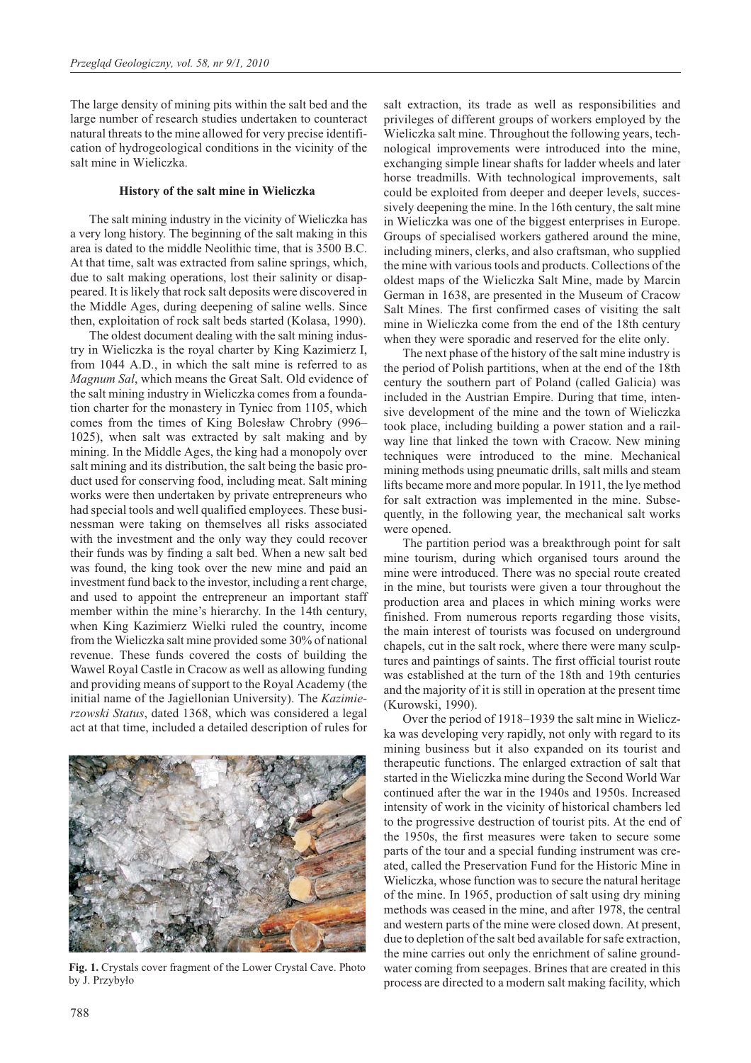The large density of mining pits within the salt bed and the large number of research studies undertaken to counteract natural threats to the mine allowed for very precise identification of hydrogeological conditions in the vicinity of the salt mine in Wieliczka.

#### **History of the salt mine in Wieliczka**

The salt mining industry in the vicinity of Wieliczka has a very long history. The beginning of the salt making in this area is dated to the middle Neolithic time, that is 3500 B.C. At that time, salt was extracted from saline springs, which, due to salt making operations, lost their salinity or disappeared. It is likely that rock salt deposits were discovered in the Middle Ages, during deepening of saline wells. Since then, exploitation of rock salt beds started (Kolasa, 1990).

The oldest document dealing with the salt mining industry in Wieliczka is the royal charter by King Kazimierz I, from 1044 A.D., in which the salt mine is referred to as *Magnum Sal*, which means the Great Salt. Old evidence of the salt mining industry in Wieliczka comes from a foundation charter for the monastery in Tyniec from 1105, which comes from the times of King Bolesław Chrobry (996– 1025), when salt was extracted by salt making and by mining. In the Middle Ages, the king had a monopoly over salt mining and its distribution, the salt being the basic product used for conserving food, including meat. Salt mining works were then undertaken by private entrepreneurs who had special tools and well qualified employees. These businessman were taking on themselves all risks associated with the investment and the only way they could recover their funds was by finding a salt bed. When a new salt bed was found, the king took over the new mine and paid an investment fund back to the investor, including a rent charge, and used to appoint the entrepreneur an important staff member within the mine's hierarchy. In the 14th century, when King Kazimierz Wielki ruled the country, income from the Wieliczka salt mine provided some 30% of national revenue. These funds covered the costs of building the Wawel Royal Castle in Cracow as well as allowing funding and providing means of support to the Royal Academy (the initial name of the Jagiellonian University). The *Kazimierzowski Status*, dated 1368, which was considered a legal act at that time, included a detailed description of rules for



**Fig. 1.** Crystals cover fragment of the Lower Crystal Cave. Photo by J. Przybyło

salt extraction, its trade as well as responsibilities and privileges of different groups of workers employed by the Wieliczka salt mine. Throughout the following years, technological improvements were introduced into the mine, exchanging simple linear shafts for ladder wheels and later horse treadmills. With technological improvements, salt could be exploited from deeper and deeper levels, successively deepening the mine. In the 16th century, the salt mine in Wieliczka was one of the biggest enterprises in Europe. Groups of specialised workers gathered around the mine, including miners, clerks, and also craftsman, who supplied the mine with various tools and products. Collections of the oldest maps of the Wieliczka Salt Mine, made by Marcin German in 1638, are presented in the Museum of Cracow Salt Mines. The first confirmed cases of visiting the salt mine in Wieliczka come from the end of the 18th century when they were sporadic and reserved for the elite only.

The next phase of the history of the salt mine industry is the period of Polish partitions, when at the end of the 18th century the southern part of Poland (called Galicia) was included in the Austrian Empire. During that time, intensive development of the mine and the town of Wieliczka took place, including building a power station and a railway line that linked the town with Cracow. New mining techniques were introduced to the mine. Mechanical mining methods using pneumatic drills, salt mills and steam lifts became more and more popular. In 1911, the lye method for salt extraction was implemented in the mine. Subsequently, in the following year, the mechanical salt works were opened.

The partition period was a breakthrough point for salt mine tourism, during which organised tours around the mine were introduced. There was no special route created in the mine, but tourists were given a tour throughout the production area and places in which mining works were finished. From numerous reports regarding those visits, the main interest of tourists was focused on underground chapels, cut in the salt rock, where there were many sculptures and paintings of saints. The first official tourist route was established at the turn of the 18th and 19th centuries and the majority of it is still in operation at the present time (Kurowski, 1990).

Over the period of 1918–1939 the salt mine in Wieliczka was developing very rapidly, not only with regard to its mining business but it also expanded on its tourist and therapeutic functions. The enlarged extraction of salt that started in the Wieliczka mine during the Second World War continued after the war in the 1940s and 1950s. Increased intensity of work in the vicinity of historical chambers led to the progressive destruction of tourist pits. At the end of the 1950s, the first measures were taken to secure some parts of the tour and a special funding instrument was created, called the Preservation Fund for the Historic Mine in Wieliczka, whose function was to secure the natural heritage of the mine. In 1965, production of salt using dry mining methods was ceased in the mine, and after 1978, the central and western parts of the mine were closed down. At present, due to depletion of the salt bed available for safe extraction, the mine carries out only the enrichment of saline groundwater coming from seepages. Brines that are created in this process are directed to a modern salt making facility, which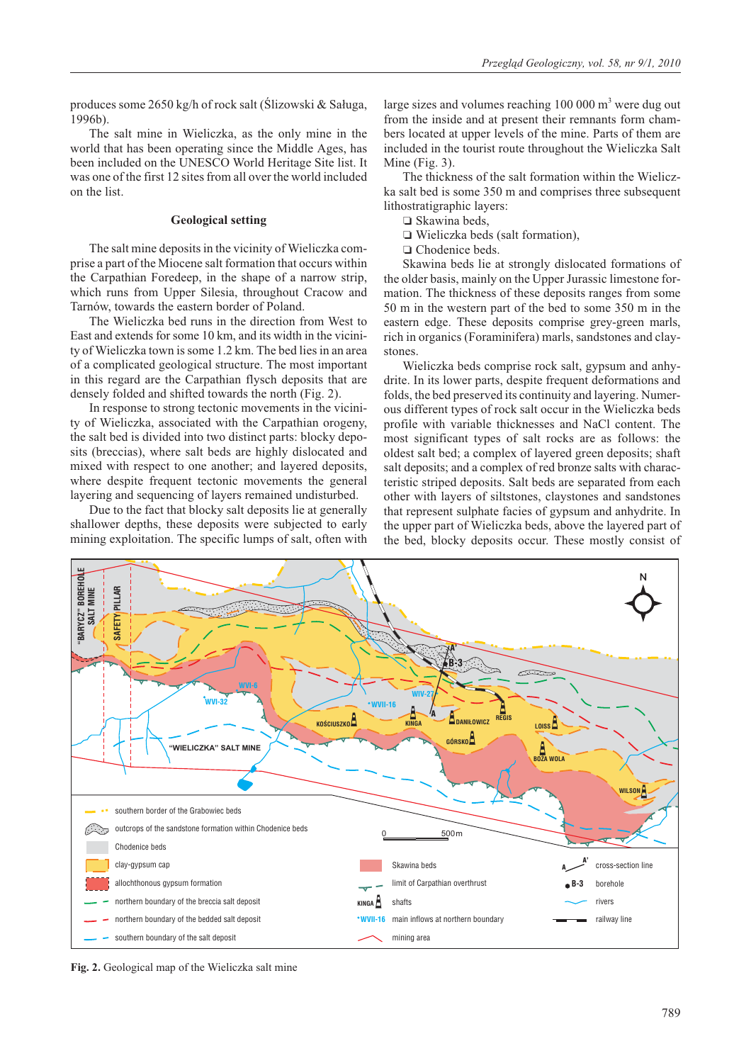produces some  $2650 \text{ kg/h}$  of rock salt (Ślizowski & Saługa, 1996b).

The salt mine in Wieliczka, as the only mine in the world that has been operating since the Middle Ages, has been included on the UNESCO World Heritage Site list. It was one of the first 12 sites from all over the world included on the list.

# **Geological setting**

The salt mine deposits in the vicinity of Wieliczka comprise a part of the Miocene salt formation that occurs within the Carpathian Foredeep, in the shape of a narrow strip, which runs from Upper Silesia, throughout Cracow and Tarnów, towards the eastern border of Poland.

The Wieliczka bed runs in the direction from West to East and extends for some 10 km, and its width in the vicinity of Wieliczka town is some 1.2 km. The bed lies in an area of a complicated geological structure. The most important in this regard are the Carpathian flysch deposits that are densely folded and shifted towards the north (Fig. 2).

In response to strong tectonic movements in the vicinity of Wieliczka, associated with the Carpathian orogeny, the salt bed is divided into two distinct parts: blocky deposits (breccias), where salt beds are highly dislocated and mixed with respect to one another; and layered deposits, where despite frequent tectonic movements the general layering and sequencing of layers remained undisturbed.

Due to the fact that blocky salt deposits lie at generally shallower depths, these deposits were subjected to early mining exploitation. The specific lumps of salt, often with large sizes and volumes reaching  $100\,000\,\mathrm{m}^3$  were dug out from the inside and at present their remnants form chambers located at upper levels of the mine. Parts of them are included in the tourist route throughout the Wieliczka Salt Mine (Fig. 3).

The thickness of the salt formation within the Wieliczka salt bed is some 350 m and comprises three subsequent lithostratigraphic layers:

□ Skawina beds,

- Wieliczka beds (salt formation),

O Chodenice beds.

Skawina beds lie at strongly dislocated formations of the older basis, mainly on the Upper Jurassic limestone formation. The thickness of these deposits ranges from some 50 m in the western part of the bed to some 350 m in the eastern edge. These deposits comprise grey-green marls, rich in organics (Foraminifera) marls, sandstones and claystones.

Wieliczka beds comprise rock salt, gypsum and anhydrite. In its lower parts, despite frequent deformations and folds, the bed preserved its continuity and layering. Numerous different types of rock salt occur in the Wieliczka beds profile with variable thicknesses and NaCl content. The most significant types of salt rocks are as follows: the oldest salt bed; a complex of layered green deposits; shaft salt deposits; and a complex of red bronze salts with characteristic striped deposits. Salt beds are separated from each other with layers of siltstones, claystones and sandstones that represent sulphate facies of gypsum and anhydrite. In the upper part of Wieliczka beds, above the layered part of the bed, blocky deposits occur. These mostly consist of



**Fig. 2.** Geological map of the Wieliczka salt mine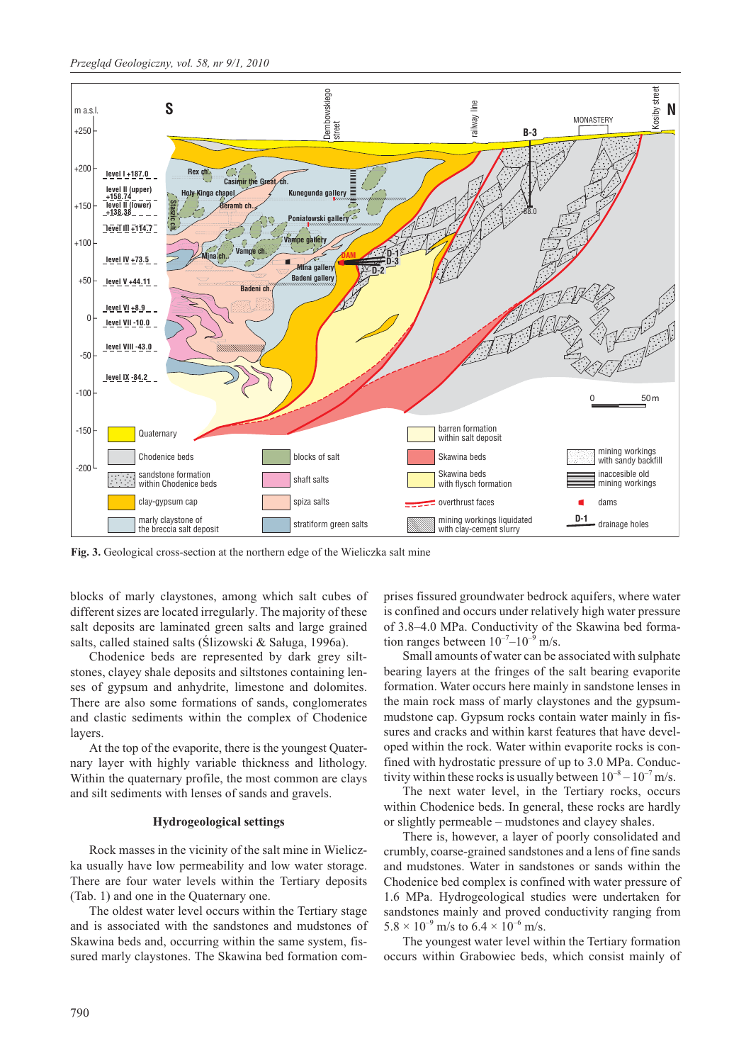

**Fig. 3.** Geological cross-section at the northern edge of the Wieliczka salt mine

blocks of marly claystones, among which salt cubes of different sizes are located irregularly. The majority of these salt deposits are laminated green salts and large grained salts, called stained salts (Ślizowski & Saługa, 1996a).

Chodenice beds are represented by dark grey siltstones, clayey shale deposits and siltstones containing lenses of gypsum and anhydrite, limestone and dolomites. There are also some formations of sands, conglomerates and clastic sediments within the complex of Chodenice layers.

At the top of the evaporite, there is the youngest Quaternary layer with highly variable thickness and lithology. Within the quaternary profile, the most common are clays and silt sediments with lenses of sands and gravels.

## **Hydrogeological settings**

Rock masses in the vicinity of the salt mine in Wieliczka usually have low permeability and low water storage. There are four water levels within the Tertiary deposits (Tab. 1) and one in the Quaternary one.

The oldest water level occurs within the Tertiary stage and is associated with the sandstones and mudstones of Skawina beds and, occurring within the same system, fissured marly claystones. The Skawina bed formation comprises fissured groundwater bedrock aquifers, where water is confined and occurs under relatively high water pressure of 3.8–4.0 MPa. Conductivity of the Skawina bed formation ranges between  $10^{-7}$ – $10^{-9}$  m/s.

Small amounts of water can be associated with sulphate bearing layers at the fringes of the salt bearing evaporite formation. Water occurs here mainly in sandstone lenses in the main rock mass of marly claystones and the gypsummudstone cap. Gypsum rocks contain water mainly in fissures and cracks and within karst features that have developed within the rock. Water within evaporite rocks is confined with hydrostatic pressure of up to 3.0 MPa. Conductivity within these rocks is usually between  $10^{-8} - 10^{-7}$  m/s.

The next water level, in the Tertiary rocks, occurs within Chodenice beds. In general, these rocks are hardly or slightly permeable – mudstones and clayey shales.

There is, however, a layer of poorly consolidated and crumbly, coarse-grained sandstones and a lens of fine sands and mudstones. Water in sandstones or sands within the Chodenice bed complex is confined with water pressure of 1.6 MPa. Hydrogeological studies were undertaken for sandstones mainly and proved conductivity ranging from  $5.8 \times 10^{-9}$  m/s to  $6.4 \times 10^{-6}$  m/s.

The youngest water level within the Tertiary formation occurs within Grabowiec beds, which consist mainly of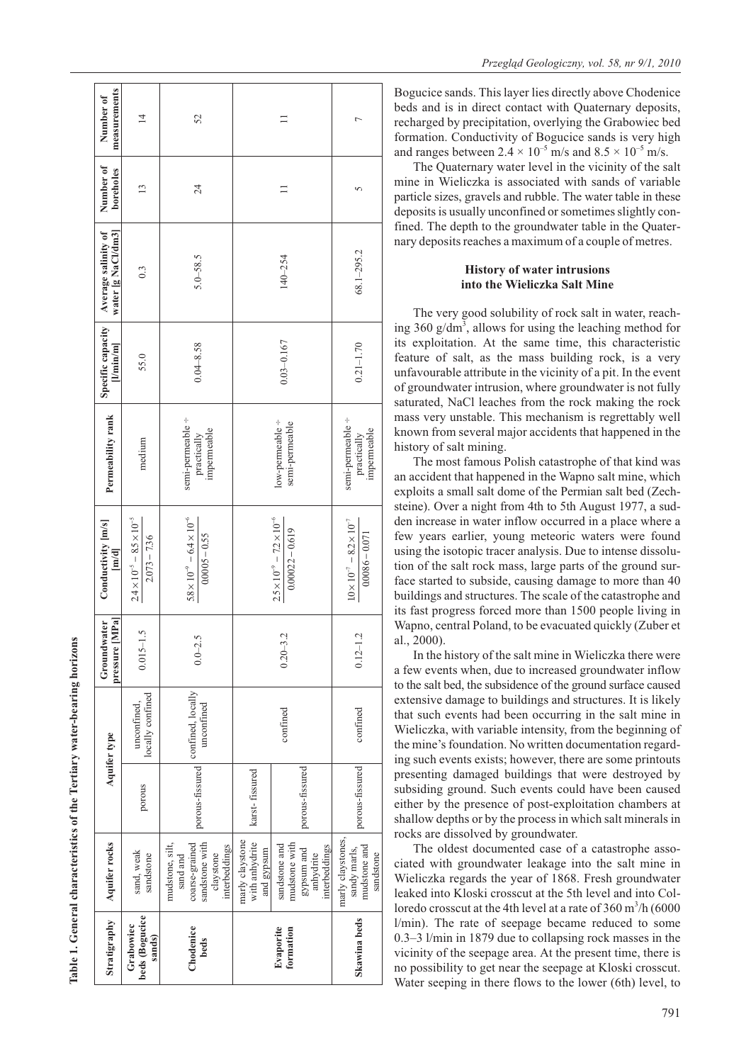| Stratigraphy                          | Aquifer rocks                                                                                 |                 | Aquifer type                                    | pressure [MPa]<br>Groundwater | Conductivity $\lfloor m/s \rfloor$                             | Permeability rank                                               | Specific capacity<br>$[$ Min $[m]$ | water [g NaCl/dm3]<br>Average salinity of | Number of<br>boreholes | measurements<br>Number of |
|---------------------------------------|-----------------------------------------------------------------------------------------------|-----------------|-------------------------------------------------|-------------------------------|----------------------------------------------------------------|-----------------------------------------------------------------|------------------------------------|-------------------------------------------|------------------------|---------------------------|
| beds (Bogucice<br>Grabowiec<br>sands) | sand, weak<br>sandstone                                                                       | porous          | locally confined<br>unconfined,                 | $0.015 - 1.5$                 | $2.4 \times 10^{-5} - 8.5 \times 10^{-5}$<br>$2.073 - 7.36$    | medium                                                          | 55.0                               | 0.3                                       | $\frac{13}{2}$         | $\overline{4}$            |
| Chodenice<br>beds                     | sandstone with<br>mudstone, silt,<br>coarse-grained<br>interbeddings<br>claystone<br>sand and |                 | porous-fissured confined, locally<br>unconfined | $0.0 - 2.5$                   | $5.8 \times 10^{-9} - 6.4 \times 10^{-6}$<br>$0.0005 - 0.55$   | semi-permeable ÷<br>impermeable<br>$\operatorname{practically}$ | $0.04 - 8.58$                      | $5.0 - 58.5$                              | 24                     | 52                        |
|                                       | marly claystone<br>with anhydrite<br>and gypsum                                               | karst-fissured  |                                                 |                               |                                                                |                                                                 |                                    |                                           |                        |                           |
| Evaporite<br>formation                | mudstone with<br>sandstone and<br>interbeddings<br>gypsum and<br>anhydrite                    | porous-fissured | confined                                        | $0.20 - 3.2$                  | $2.5 \times 10^{-9} - 7.2 \times 10^{-6}$<br>$0.00022 - 0.619$ | low-permeable ÷<br>semi-permeable                               | $0.03 - 0.167$                     | $140 - 254$                               |                        | $\Box$                    |
| Skawina beds                          | marly claystones,<br>mudstone and<br>sandy marls,<br>sandstone                                | porous-fissured | confined                                        | $0.12 - 1.2$                  | $1.0 \times 10^{-7} - 8.2 \times 10^{-7}$<br>$0.0086 - 0.071$  | semi-permeable ÷<br>impermeable<br>practically                  | $0.21 - 1.70$                      | 68.1-295.2                                | 5                      |                           |

Bogucice sands. This layer lies directly above Chodenice beds and is in direct contact with Quaternary deposits, recharged by precipitation, overlying the Grabowiec bed formation. Conductivity of Bogucice sands is very high and ranges between  $2.4 \times 10^{-5}$  m/s and  $8.5 \times 10^{-5}$  m/s.

The Quaternary water level in the vicinity of the salt mine in Wieliczka is associated with sands of variable particle sizes, gravels and rubble. The water table in these deposits is usually unconfined or sometimes slightly confined. The depth to the groundwater table in the Quaternary deposits reaches a maximum of a couple of metres.

# **History of water intrusions into the Wieliczka Salt Mine**

The very good solubility of rock salt in water, reaching 360 g/dm<sup>3</sup>, allows for using the leaching method for its exploitation. At the same time, this characteristic feature of salt, as the mass building rock, is a very unfavourable attribute in the vicinity of a pit. In the event of groundwater intrusion, where groundwater is not fully saturated, NaCl leaches from the rock making the rock mass very unstable. This mechanism is regrettably well known from several major accidents that happened in the history of salt mining.

The most famous Polish catastrophe of that kind was an accident that happened in the Wapno salt mine, which exploits a small salt dome of the Permian salt bed (Zechsteine). Over a night from 4th to 5th August 1977, a sudden increase in water inflow occurred in a place where a few years earlier, young meteoric waters were found using the isotopic tracer analysis. Due to intense dissolution of the salt rock mass, large parts of the ground surface started to subside, causing damage to more than 40 buildings and structures. The scale of the catastrophe and its fast progress forced more than 1500 people living in Wapno, central Poland, to be evacuated quickly (Zuber et al., 2000).

In the history of the salt mine in Wieliczka there were a few events when, due to increased groundwater inflow to the salt bed, the subsidence of the ground surface caused extensive damage to buildings and structures. It is likely that such events had been occurring in the salt mine in Wieliczka, with variable intensity, from the beginning of the mine's foundation. No written documentation regarding such events exists; however, there are some printouts presenting damaged buildings that were destroyed by subsiding ground. Such events could have been caused either by the presence of post-exploitation chambers at shallow depths or by the process in which salt minerals in rocks are dissolved by groundwater.

The oldest documented case of a catastrophe associated with groundwater leakage into the salt mine in Wieliczka regards the year of 1868. Fresh groundwater leaked into Kloski crosscut at the 5th level and into Colloredo crosscut at the 4th level at a rate of  $360 \text{ m}^3/\text{h}$  (6000 l/min). The rate of seepage became reduced to some 0.3–3 l/min in 1879 due to collapsing rock masses in the vicinity of the seepage area. At the present time, there is no possibility to get near the seepage at Kloski crosscut. Water seeping in there flows to the lower (6th) level, to

Table 1. General characteristics of the Tertiary water-bearing horizons **Table 1. General characteristics of the Tertiary water-bearing horizons**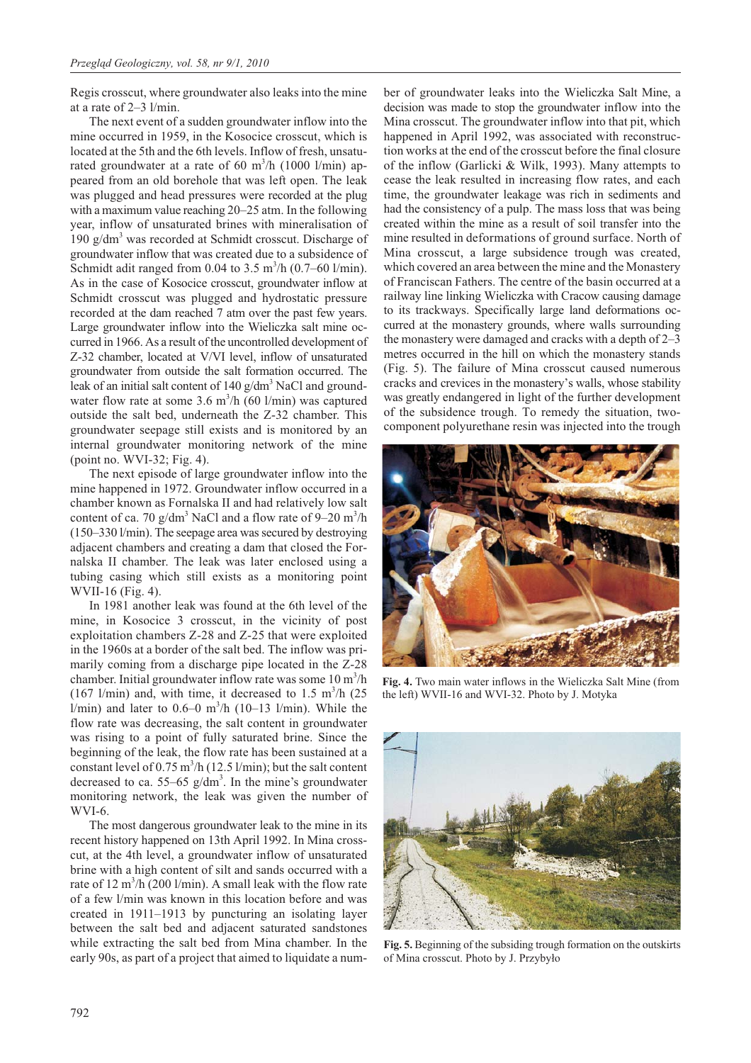Regis crosscut, where groundwater also leaks into the mine at a rate of 2–3 l/min.

The next event of a sudden groundwater inflow into the mine occurred in 1959, in the Kosocice crosscut, which is located at the 5th and the 6th levels. Inflow of fresh, unsaturated groundwater at a rate of 60 m<sup>3</sup>/h (1000 l/min) appeared from an old borehole that was left open. The leak was plugged and head pressures were recorded at the plug with a maximum value reaching 20–25 atm. In the following year, inflow of unsaturated brines with mineralisation of 190  $g/dm<sup>3</sup>$  was recorded at Schmidt crosscut. Discharge of groundwater inflow that was created due to a subsidence of Schmidt adit ranged from 0.04 to 3.5  $\text{m}^3\text{/h}$  (0.7–60 l/min). As in the case of Kosocice crosscut, groundwater inflow at Schmidt crosscut was plugged and hydrostatic pressure recorded at the dam reached 7 atm over the past few years. Large groundwater inflow into the Wieliczka salt mine occurred in 1966. As a result of the uncontrolled development of Z-32 chamber, located at V/VI level, inflow of unsaturated groundwater from outside the salt formation occurred. The leak of an initial salt content of  $140 \text{ g/dm}^3$  NaCl and groundwater flow rate at some 3.6  $m^3/h$  (60 l/min) was captured outside the salt bed, underneath the Z-32 chamber. This groundwater seepage still exists and is monitored by an internal groundwater monitoring network of the mine (point no. WVI-32; Fig. 4).

The next episode of large groundwater inflow into the mine happened in 1972. Groundwater inflow occurred in a chamber known as Fornalska II and had relatively low salt content of ca. 70  $g/dm^3$  NaCl and a flow rate of 9–20  $m^3/h$ (150–330 l/min). The seepage area was secured by destroying adjacent chambers and creating a dam that closed the Fornalska II chamber. The leak was later enclosed using a tubing casing which still exists as a monitoring point WVII-16 (Fig. 4).

In 1981 another leak was found at the 6th level of the mine, in Kosocice 3 crosscut, in the vicinity of post exploitation chambers Z-28 and Z-25 that were exploited in the 1960s at a border of the salt bed. The inflow was primarily coming from a discharge pipe located in the Z-28 chamber. Initial groundwater inflow rate was some  $10 \text{ m}^3/\text{h}$ (167 l/min) and, with time, it decreased to 1.5  $\text{m}^3\text{/h}$  (25  $1/\text{min}$ ) and later to 0.6–0 m<sup>3</sup>/h (10–13  $1/\text{min}$ ). While the flow rate was decreasing, the salt content in groundwater was rising to a point of fully saturated brine. Since the beginning of the leak, the flow rate has been sustained at a constant level of  $0.75 \text{ m}^3/\text{h}$  (12.5 l/min); but the salt content decreased to ca. 55–65  $g/dm<sup>3</sup>$ . In the mine's groundwater monitoring network, the leak was given the number of WVI-6.

The most dangerous groundwater leak to the mine in its recent history happened on 13th April 1992. In Mina crosscut, at the 4th level, a groundwater inflow of unsaturated brine with a high content of silt and sands occurred with a rate of 12  $\text{m}^3/\text{h}$  (200 l/min). A small leak with the flow rate of a few l/min was known in this location before and was created in 1911–1913 by puncturing an isolating layer between the salt bed and adjacent saturated sandstones while extracting the salt bed from Mina chamber. In the early 90s, as part of a project that aimed to liquidate a number of groundwater leaks into the Wieliczka Salt Mine, a decision was made to stop the groundwater inflow into the Mina crosscut. The groundwater inflow into that pit, which happened in April 1992, was associated with reconstruction works at the end of the crosscut before the final closure of the inflow (Garlicki & Wilk, 1993). Many attempts to cease the leak resulted in increasing flow rates, and each time, the groundwater leakage was rich in sediments and had the consistency of a pulp. The mass loss that was being created within the mine as a result of soil transfer into the mine resulted in deformations of ground surface. North of Mina crosscut, a large subsidence trough was created, which covered an area between the mine and the Monastery of Franciscan Fathers. The centre of the basin occurred at a railway line linking Wieliczka with Cracow causing damage to its trackways. Specifically large land deformations occurred at the monastery grounds, where walls surrounding the monastery were damaged and cracks with a depth of 2–3 metres occurred in the hill on which the monastery stands (Fig. 5). The failure of Mina crosscut caused numerous cracks and crevices in the monastery's walls, whose stability was greatly endangered in light of the further development of the subsidence trough. To remedy the situation, twocomponent polyurethane resin was injected into the trough



**Fig. 4.** Two main water inflows in the Wieliczka Salt Mine (from the left) WVII-16 and WVI-32. Photo by J. Motyka



**Fig. 5.** Beginning of the subsiding trough formation on the outskirts of Mina crosscut. Photo by J. Przybyło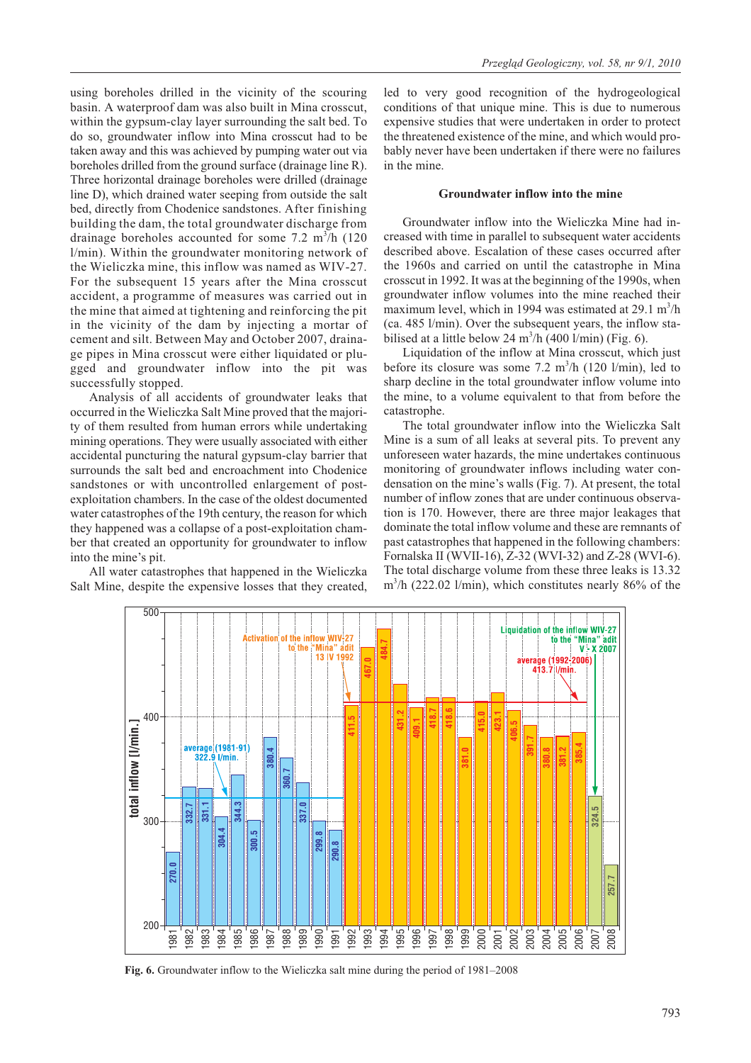using boreholes drilled in the vicinity of the scouring basin. A waterproof dam was also built in Mina crosscut, within the gypsum-clay layer surrounding the salt bed. To do so, groundwater inflow into Mina crosscut had to be taken away and this was achieved by pumping water out via boreholes drilled from the ground surface (drainage line R). Three horizontal drainage boreholes were drilled (drainage line D), which drained water seeping from outside the salt bed, directly from Chodenice sandstones. After finishing building the dam, the total groundwater discharge from drainage boreholes accounted for some 7.2  $m^3/h$  (120 l/min). Within the groundwater monitoring network of the Wieliczka mine, this inflow was named as WIV-27. For the subsequent 15 years after the Mina crosscut accident, a programme of measures was carried out in the mine that aimed at tightening and reinforcing the pit in the vicinity of the dam by injecting a mortar of cement and silt. Between May and October 2007, drainage pipes in Mina crosscut were either liquidated or plugged and groundwater inflow into the pit was successfully stopped.

Analysis of all accidents of groundwater leaks that occurred in the Wieliczka Salt Mine proved that the majority of them resulted from human errors while undertaking mining operations. They were usually associated with either accidental puncturing the natural gypsum-clay barrier that surrounds the salt bed and encroachment into Chodenice sandstones or with uncontrolled enlargement of postexploitation chambers. In the case of the oldest documented water catastrophes of the 19th century, the reason for which they happened was a collapse of a post-exploitation chamber that created an opportunity for groundwater to inflow into the mine's pit.

All water catastrophes that happened in the Wieliczka Salt Mine, despite the expensive losses that they created, led to very good recognition of the hydrogeological conditions of that unique mine. This is due to numerous expensive studies that were undertaken in order to protect the threatened existence of the mine, and which would probably never have been undertaken if there were no failures in the mine.

## **Groundwater inflow into the mine**

Groundwater inflow into the Wieliczka Mine had increased with time in parallel to subsequent water accidents described above. Escalation of these cases occurred after the 1960s and carried on until the catastrophe in Mina crosscut in 1992. It was at the beginning of the 1990s, when groundwater inflow volumes into the mine reached their maximum level, which in 1994 was estimated at  $29.1 \text{ m}^3/\text{h}$ (ca. 485 l/min). Over the subsequent years, the inflow stabilised at a little below 24 m<sup>3</sup>/h (400 l/min) (Fig. 6).

Liquidation of the inflow at Mina crosscut, which just before its closure was some 7.2  $m^3/h$  (120 l/min), led to sharp decline in the total groundwater inflow volume into the mine, to a volume equivalent to that from before the catastrophe.

The total groundwater inflow into the Wieliczka Salt Mine is a sum of all leaks at several pits. To prevent any unforeseen water hazards, the mine undertakes continuous monitoring of groundwater inflows including water condensation on the mine's walls (Fig. 7). At present, the total number of inflow zones that are under continuous observation is 170. However, there are three major leakages that dominate the total inflow volume and these are remnants of past catastrophes that happened in the following chambers: Fornalska II (WVII-16), Z-32 (WVI-32) and Z-28 (WVI-6). The total discharge volume from these three leaks is 13.32 m3 /h (222.02 l/min), which constitutes nearly 86% of the



**Fig. 6.** Groundwater inflow to the Wieliczka salt mine during the period of 1981–2008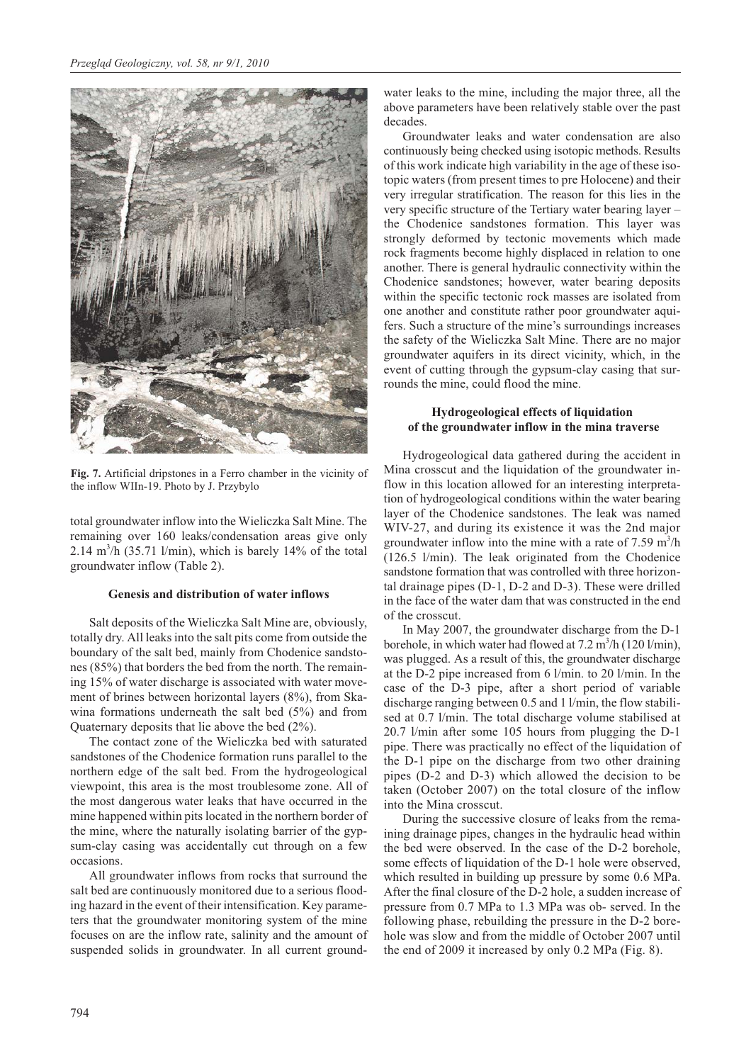

**Fig. 7.** Artificial dripstones in a Ferro chamber in the vicinity of the inflow WIIn-19. Photo by J. Przybylo

total groundwater inflow into the Wieliczka Salt Mine. The remaining over 160 leaks/condensation areas give only 2.14  $\text{m}^3/\text{h}$  (35.71 l/min), which is barely 14% of the total groundwater inflow (Table 2).

#### **Genesis and distribution of water inflows**

Salt deposits of the Wieliczka Salt Mine are, obviously, totally dry. All leaks into the salt pits come from outside the boundary of the salt bed, mainly from Chodenice sandstones (85%) that borders the bed from the north. The remaining 15% of water discharge is associated with water movement of brines between horizontal layers (8%), from Skawina formations underneath the salt bed (5%) and from Quaternary deposits that lie above the bed (2%).

The contact zone of the Wieliczka bed with saturated sandstones of the Chodenice formation runs parallel to the northern edge of the salt bed. From the hydrogeological viewpoint, this area is the most troublesome zone. All of the most dangerous water leaks that have occurred in the mine happened within pits located in the northern border of the mine, where the naturally isolating barrier of the gypsum-clay casing was accidentally cut through on a few occasions.

All groundwater inflows from rocks that surround the salt bed are continuously monitored due to a serious flooding hazard in the event of their intensification. Key parameters that the groundwater monitoring system of the mine focuses on are the inflow rate, salinity and the amount of suspended solids in groundwater. In all current groundwater leaks to the mine, including the major three, all the above parameters have been relatively stable over the past decades.

Groundwater leaks and water condensation are also continuously being checked using isotopic methods. Results of this work indicate high variability in the age of these isotopic waters (from present times to pre Holocene) and their very irregular stratification. The reason for this lies in the very specific structure of the Tertiary water bearing layer – the Chodenice sandstones formation. This layer was strongly deformed by tectonic movements which made rock fragments become highly displaced in relation to one another. There is general hydraulic connectivity within the Chodenice sandstones; however, water bearing deposits within the specific tectonic rock masses are isolated from one another and constitute rather poor groundwater aquifers. Such a structure of the mine's surroundings increases the safety of the Wieliczka Salt Mine. There are no major groundwater aquifers in its direct vicinity, which, in the event of cutting through the gypsum-clay casing that surrounds the mine, could flood the mine.

# **Hydrogeological effects of liquidation of the groundwater inflow in the mina traverse**

Hydrogeological data gathered during the accident in Mina crosscut and the liquidation of the groundwater inflow in this location allowed for an interesting interpretation of hydrogeological conditions within the water bearing layer of the Chodenice sandstones. The leak was named WIV-27, and during its existence it was the 2nd major groundwater inflow into the mine with a rate of  $7.59 \text{ m}^3/\text{h}$ (126.5 l/min). The leak originated from the Chodenice sandstone formation that was controlled with three horizontal drainage pipes (D-1, D-2 and D-3). These were drilled in the face of the water dam that was constructed in the end of the crosscut.

In May 2007, the groundwater discharge from the D-1 borehole, in which water had flowed at  $7.2 \text{ m}^3/\text{h}$  (120 l/min), was plugged. As a result of this, the groundwater discharge at the D-2 pipe increased from 6 l/min. to 20 l/min. In the case of the D-3 pipe, after a short period of variable discharge ranging between 0.5 and 1 l/min, the flow stabilised at 0.7 l/min. The total discharge volume stabilised at 20.7 l/min after some 105 hours from plugging the D-1 pipe. There was practically no effect of the liquidation of the D-1 pipe on the discharge from two other draining pipes (D-2 and D-3) which allowed the decision to be taken (October 2007) on the total closure of the inflow into the Mina crosscut.

During the successive closure of leaks from the remaining drainage pipes, changes in the hydraulic head within the bed were observed. In the case of the D-2 borehole, some effects of liquidation of the D-1 hole were observed, which resulted in building up pressure by some 0.6 MPa. After the final closure of the D-2 hole, a sudden increase of pressure from 0.7 MPa to 1.3 MPa was ob- served. In the following phase, rebuilding the pressure in the D-2 borehole was slow and from the middle of October 2007 until the end of 2009 it increased by only 0.2 MPa (Fig. 8).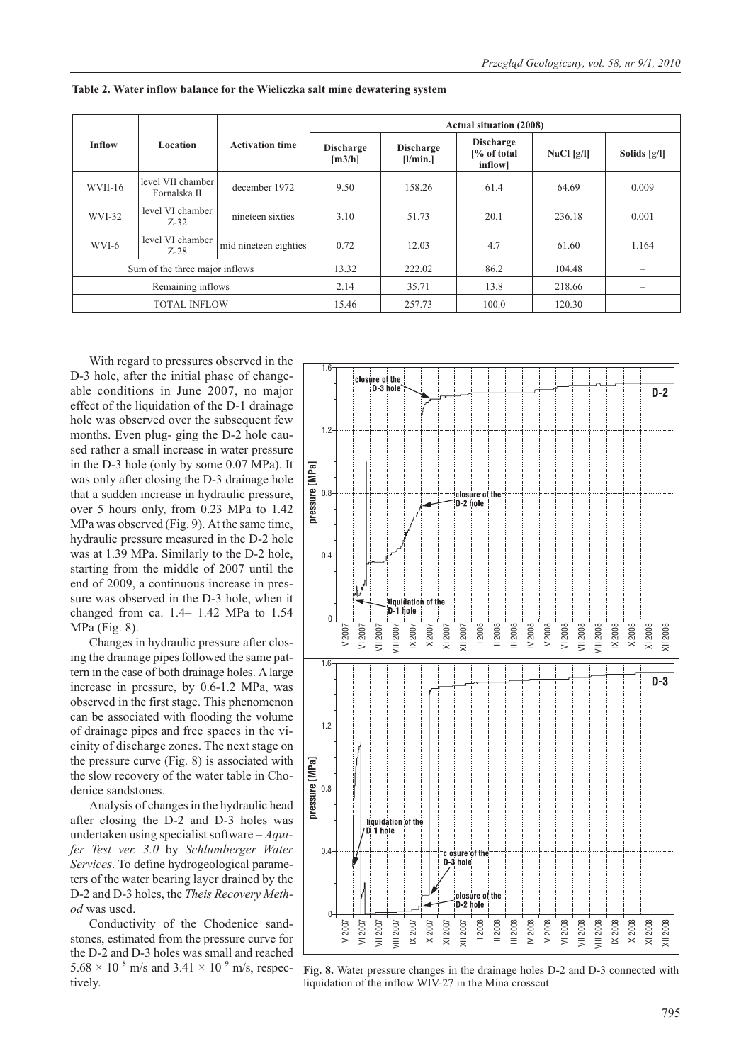|                                | <b>Location</b>                   | <b>Activation time</b> | <b>Actual situation (2008)</b> |                              |                                             |            |                          |
|--------------------------------|-----------------------------------|------------------------|--------------------------------|------------------------------|---------------------------------------------|------------|--------------------------|
| <b>Inflow</b>                  |                                   |                        | <b>Discharge</b><br>[m3/h]     | <b>Discharge</b><br>[1/min.] | <b>Discharge</b><br>[% of total]<br>inflow] | NaCl [g/l] | Solids $[g/l]$           |
| WVII-16                        | level VII chamber<br>Fornalska II | december 1972          | 9.50                           | 158.26                       | 61.4                                        | 64.69      | 0.009                    |
| WVI-32                         | level VI chamber<br>$Z-32$        | nineteen sixties       | 3.10                           | 51.73                        | 20.1                                        | 236.18     | 0.001                    |
| WVI-6                          | level VI chamber<br>$Z-28$        | mid nineteen eighties  | 0.72                           | 12.03                        | 4.7                                         | 61.60      | 1.164                    |
| Sum of the three major inflows |                                   |                        | 13.32                          | 222.02                       | 86.2                                        | 104.48     |                          |
| Remaining inflows              |                                   |                        | 2.14                           | 35.71                        | 13.8                                        | 218.66     | $\overline{\phantom{0}}$ |
| <b>TOTAL INFLOW</b>            |                                   |                        | 15.46                          | 257.73                       | 100.0                                       | 120.30     | $\overline{\phantom{a}}$ |

**Table 2. Water inflow balance for the Wieliczka salt mine dewatering system**

With regard to pressures observed in the D-3 hole, after the initial phase of changeable conditions in June 2007, no major effect of the liquidation of the D-1 drainage hole was observed over the subsequent few months. Even plug- ging the D-2 hole caused rather a small increase in water pressure in the D-3 hole (only by some 0.07 MPa). It was only after closing the D-3 drainage hole that a sudden increase in hydraulic pressure, over 5 hours only, from 0.23 MPa to 1.42 MPa was observed (Fig. 9). At the same time, hydraulic pressure measured in the D-2 hole was at 1.39 MPa. Similarly to the D-2 hole, starting from the middle of 2007 until the end of 2009, a continuous increase in pressure was observed in the D-3 hole, when it changed from ca. 1.4– 1.42 MPa to 1.54 MPa (Fig. 8).

Changes in hydraulic pressure after closing the drainage pipes followed the same pattern in the case of both drainage holes. A large increase in pressure, by 0.6-1.2 MPa, was observed in the first stage. This phenomenon can be associated with flooding the volume of drainage pipes and free spaces in the vicinity of discharge zones. The next stage on the pressure curve (Fig. 8) is associated with the slow recovery of the water table in Chodenice sandstones.

Analysis of changes in the hydraulic head after closing the D-2 and D-3 holes was undertaken using specialist software – *Aquifer Test ver. 3.0* by *Schlumberger Water Services*. To define hydrogeological parameters of the water bearing layer drained by the D-2 and D-3 holes, the *Theis Recovery Method* was used.

Conductivity of the Chodenice sandstones, estimated from the pressure curve for the D-2 and D-3 holes was small and reached  $5.68 \times 10^{-8}$  m/s and  $3.41 \times 10^{-9}$  m/s, respectively.



**Fig. 8.** Water pressure changes in the drainage holes D-2 and D-3 connected with liquidation of the inflow WIV-27 in the Mina crosscut